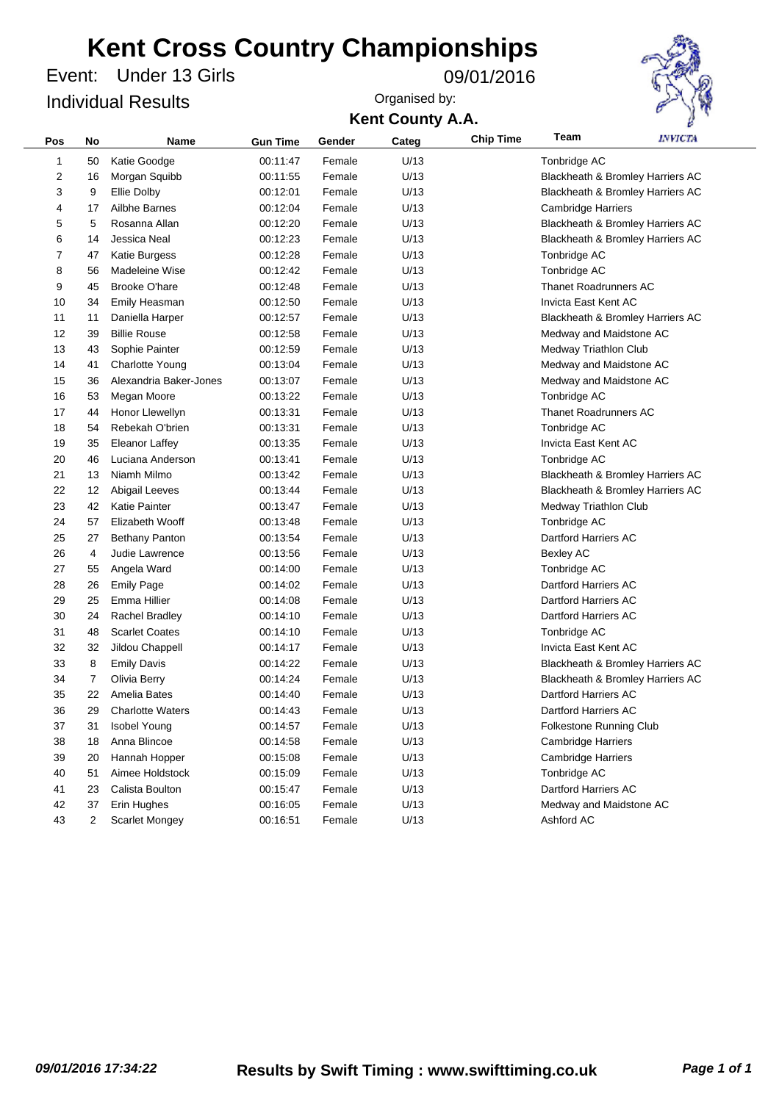Under 13 Girls Event: 09/01/2016 Individual Results



| Pos            | No             | Name                    | <b>Gun Time</b> | Gender | Categ | <b>Chip Time</b> | Team                         | <i><b>INVICTA</b></i>            |
|----------------|----------------|-------------------------|-----------------|--------|-------|------------------|------------------------------|----------------------------------|
| 1              | 50             | Katie Goodge            | 00:11:47        | Female | U/13  |                  | Tonbridge AC                 |                                  |
| 2              | 16             | Morgan Squibb           | 00:11:55        | Female | U/13  |                  |                              | Blackheath & Bromley Harriers AC |
| 3              | 9              | Ellie Dolby             | 00:12:01        | Female | U/13  |                  |                              | Blackheath & Bromley Harriers AC |
| 4              | 17             | Ailbhe Barnes           | 00:12:04        | Female | U/13  |                  | <b>Cambridge Harriers</b>    |                                  |
| 5              | 5              | Rosanna Allan           | 00:12:20        | Female | U/13  |                  |                              | Blackheath & Bromley Harriers AC |
| 6              | 14             | Jessica Neal            | 00:12:23        | Female | U/13  |                  |                              | Blackheath & Bromley Harriers AC |
| $\overline{7}$ | 47             | Katie Burgess           | 00:12:28        | Female | U/13  |                  | Tonbridge AC                 |                                  |
| 8              | 56             | Madeleine Wise          | 00:12:42        | Female | U/13  |                  | Tonbridge AC                 |                                  |
| 9              | 45             | <b>Brooke O'hare</b>    | 00:12:48        | Female | U/13  |                  | <b>Thanet Roadrunners AC</b> |                                  |
| 10             | 34             | <b>Emily Heasman</b>    | 00:12:50        | Female | U/13  |                  | Invicta East Kent AC         |                                  |
| 11             | 11             | Daniella Harper         | 00:12:57        | Female | U/13  |                  |                              | Blackheath & Bromley Harriers AC |
| 12             | 39             | <b>Billie Rouse</b>     | 00:12:58        | Female | U/13  |                  | Medway and Maidstone AC      |                                  |
| 13             | 43             | Sophie Painter          | 00:12:59        | Female | U/13  |                  | Medway Triathlon Club        |                                  |
| 14             | 41             | <b>Charlotte Young</b>  | 00:13:04        | Female | U/13  |                  | Medway and Maidstone AC      |                                  |
| 15             | 36             | Alexandria Baker-Jones  | 00:13:07        | Female | U/13  |                  | Medway and Maidstone AC      |                                  |
| 16             | 53             | Megan Moore             | 00:13:22        | Female | U/13  |                  | Tonbridge AC                 |                                  |
| 17             | 44             | Honor Llewellyn         | 00:13:31        | Female | U/13  |                  | <b>Thanet Roadrunners AC</b> |                                  |
| 18             | 54             | Rebekah O'brien         | 00:13:31        | Female | U/13  |                  | Tonbridge AC                 |                                  |
| 19             | 35             | <b>Eleanor Laffey</b>   | 00:13:35        | Female | U/13  |                  | Invicta East Kent AC         |                                  |
| 20             | 46             | Luciana Anderson        | 00:13:41        | Female | U/13  |                  | Tonbridge AC                 |                                  |
| 21             | 13             | Niamh Milmo             | 00:13:42        | Female | U/13  |                  |                              | Blackheath & Bromley Harriers AC |
| 22             | 12             | Abigail Leeves          | 00:13:44        | Female | U/13  |                  |                              | Blackheath & Bromley Harriers AC |
| 23             | 42             | Katie Painter           | 00:13:47        | Female | U/13  |                  | Medway Triathlon Club        |                                  |
| 24             | 57             | Elizabeth Wooff         | 00:13:48        | Female | U/13  |                  | Tonbridge AC                 |                                  |
| 25             | 27             | <b>Bethany Panton</b>   | 00:13:54        | Female | U/13  |                  | Dartford Harriers AC         |                                  |
| 26             | $\overline{4}$ | Judie Lawrence          | 00:13:56        | Female | U/13  |                  | <b>Bexley AC</b>             |                                  |
| 27             | 55             | Angela Ward             | 00:14:00        | Female | U/13  |                  | Tonbridge AC                 |                                  |
| 28             | 26             | <b>Emily Page</b>       | 00:14:02        | Female | U/13  |                  | Dartford Harriers AC         |                                  |
| 29             | 25             | Emma Hillier            | 00:14:08        | Female | U/13  |                  | Dartford Harriers AC         |                                  |
| 30             | 24             | Rachel Bradley          | 00:14:10        | Female | U/13  |                  | Dartford Harriers AC         |                                  |
| 31             | 48             | <b>Scarlet Coates</b>   | 00:14:10        | Female | U/13  |                  | Tonbridge AC                 |                                  |
| 32             | 32             | Jildou Chappell         | 00:14:17        | Female | U/13  |                  | Invicta East Kent AC         |                                  |
| 33             | 8              | <b>Emily Davis</b>      | 00:14:22        | Female | U/13  |                  |                              | Blackheath & Bromley Harriers AC |
| 34             | $\overline{7}$ | Olivia Berry            | 00:14:24        | Female | U/13  |                  |                              | Blackheath & Bromley Harriers AC |
| 35             | 22             | Amelia Bates            | 00:14:40        | Female | U/13  |                  | Dartford Harriers AC         |                                  |
| 36             | 29             | <b>Charlotte Waters</b> | 00:14:43        | Female | U/13  |                  | Dartford Harriers AC         |                                  |
| 37             | 31             | Isobel Young            | 00:14:57        | Female | U/13  |                  | Folkestone Running Club      |                                  |
| 38             | 18             | Anna Blincoe            | 00:14:58        | Female | U/13  |                  | <b>Cambridge Harriers</b>    |                                  |
| 39             | 20             | Hannah Hopper           | 00:15:08        | Female | U/13  |                  | Cambridge Harriers           |                                  |
| 40             | 51             | Aimee Holdstock         | 00:15:09        | Female | U/13  |                  | Tonbridge AC                 |                                  |
| 41             | 23             | Calista Boulton         | 00:15:47        | Female | U/13  |                  | Dartford Harriers AC         |                                  |
| 42             | 37             | Erin Hughes             | 00:16:05        | Female | U/13  |                  | Medway and Maidstone AC      |                                  |
| 43             | $\overline{2}$ | <b>Scarlet Mongey</b>   | 00:16:51        | Female | U/13  |                  | Ashford AC                   |                                  |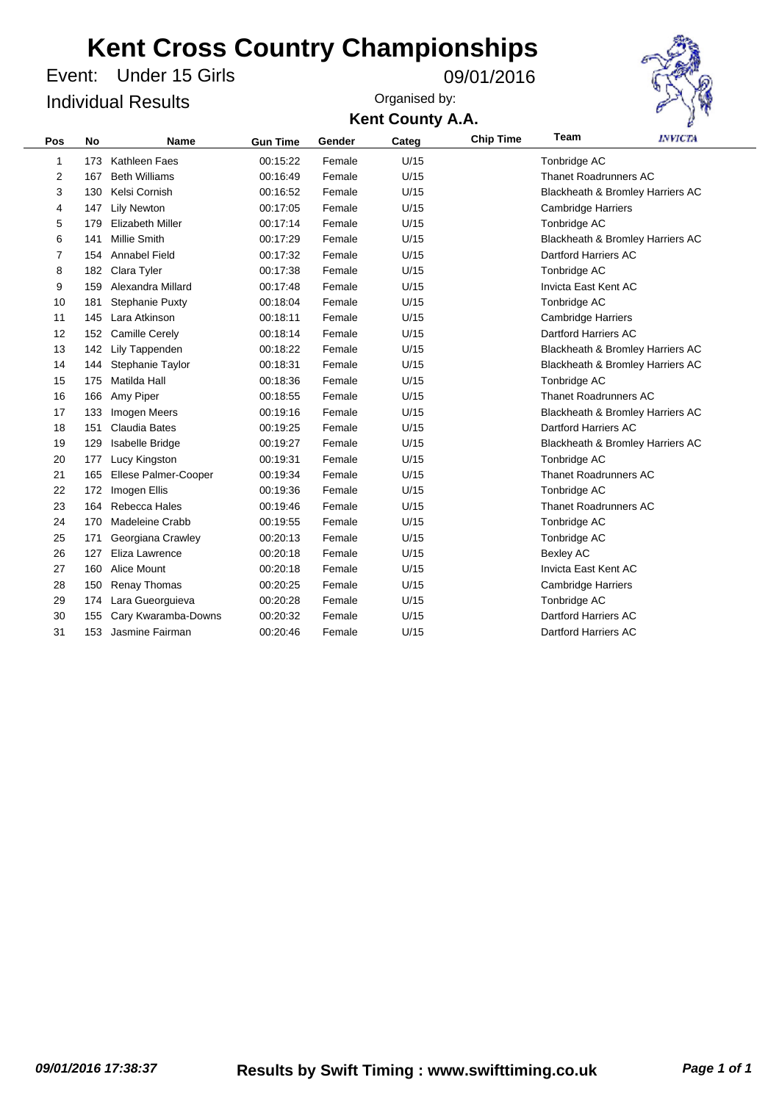Under 15 Girls Event: 09/01/2016 Individual Results



| Pos | <b>No</b> | <b>Name</b>             | <b>Gun Time</b> | Gender | Categ | <b>Chip Time</b> | Team                         | <b>INVICTA</b>                   |
|-----|-----------|-------------------------|-----------------|--------|-------|------------------|------------------------------|----------------------------------|
| 1   | 173       | Kathleen Faes           | 00:15:22        | Female | U/15  |                  | Tonbridge AC                 |                                  |
| 2   | 167       | <b>Beth Williams</b>    | 00:16:49        | Female | U/15  |                  | <b>Thanet Roadrunners AC</b> |                                  |
| 3   | 130       | Kelsi Cornish           | 00:16:52        | Female | U/15  |                  |                              | Blackheath & Bromley Harriers AC |
| 4   | 147       | <b>Lily Newton</b>      | 00:17:05        | Female | U/15  |                  | <b>Cambridge Harriers</b>    |                                  |
| 5   | 179       | <b>Elizabeth Miller</b> | 00:17:14        | Female | U/15  |                  | Tonbridge AC                 |                                  |
| 6   | 141       | <b>Millie Smith</b>     | 00:17:29        | Female | U/15  |                  |                              | Blackheath & Bromley Harriers AC |
| 7   | 154       | Annabel Field           | 00:17:32        | Female | U/15  |                  | <b>Dartford Harriers AC</b>  |                                  |
| 8   | 182       | Clara Tyler             | 00:17:38        | Female | U/15  |                  | Tonbridge AC                 |                                  |
| 9   | 159       | Alexandra Millard       | 00:17:48        | Female | U/15  |                  | Invicta East Kent AC         |                                  |
| 10  | 181       | <b>Stephanie Puxty</b>  | 00:18:04        | Female | U/15  |                  | Tonbridge AC                 |                                  |
| 11  | 145       | Lara Atkinson           | 00:18:11        | Female | U/15  |                  | <b>Cambridge Harriers</b>    |                                  |
| 12  | 152       | <b>Camille Cerely</b>   | 00:18:14        | Female | U/15  |                  | Dartford Harriers AC         |                                  |
| 13  | 142       | Lily Tappenden          | 00:18:22        | Female | U/15  |                  |                              | Blackheath & Bromley Harriers AC |
| 14  | 144       | Stephanie Taylor        | 00:18:31        | Female | U/15  |                  |                              | Blackheath & Bromley Harriers AC |
| 15  | 175       | Matilda Hall            | 00:18:36        | Female | U/15  |                  | Tonbridge AC                 |                                  |
| 16  | 166       | Amy Piper               | 00:18:55        | Female | U/15  |                  | Thanet Roadrunners AC        |                                  |
| 17  | 133       | Imogen Meers            | 00:19:16        | Female | U/15  |                  |                              | Blackheath & Bromley Harriers AC |
| 18  | 151       | <b>Claudia Bates</b>    | 00:19:25        | Female | U/15  |                  | Dartford Harriers AC         |                                  |
| 19  | 129       | <b>Isabelle Bridge</b>  | 00:19:27        | Female | U/15  |                  |                              | Blackheath & Bromley Harriers AC |
| 20  | 177       | Lucy Kingston           | 00:19:31        | Female | U/15  |                  | Tonbridge AC                 |                                  |
| 21  | 165       | Ellese Palmer-Cooper    | 00:19:34        | Female | U/15  |                  | <b>Thanet Roadrunners AC</b> |                                  |
| 22  | 172       | Imogen Ellis            | 00:19:36        | Female | U/15  |                  | Tonbridge AC                 |                                  |
| 23  | 164       | Rebecca Hales           | 00:19:46        | Female | U/15  |                  | <b>Thanet Roadrunners AC</b> |                                  |
| 24  | 170       | Madeleine Crabb         | 00:19:55        | Female | U/15  |                  | Tonbridge AC                 |                                  |
| 25  | 171       | Georgiana Crawley       | 00:20:13        | Female | U/15  |                  | Tonbridge AC                 |                                  |
| 26  | 127       | Eliza Lawrence          | 00:20:18        | Female | U/15  |                  | <b>Bexley AC</b>             |                                  |
| 27  | 160       | <b>Alice Mount</b>      | 00:20:18        | Female | U/15  |                  | Invicta East Kent AC         |                                  |
| 28  | 150       | Renay Thomas            | 00:20:25        | Female | U/15  |                  | <b>Cambridge Harriers</b>    |                                  |
| 29  | 174       | Lara Gueorguieva        | 00:20:28        | Female | U/15  |                  | Tonbridge AC                 |                                  |
| 30  | 155       | Cary Kwaramba-Downs     | 00:20:32        | Female | U/15  |                  | Dartford Harriers AC         |                                  |
| 31  | 153       | Jasmine Fairman         | 00:20:46        | Female | U/15  |                  | Dartford Harriers AC         |                                  |
|     |           |                         |                 |        |       |                  |                              |                                  |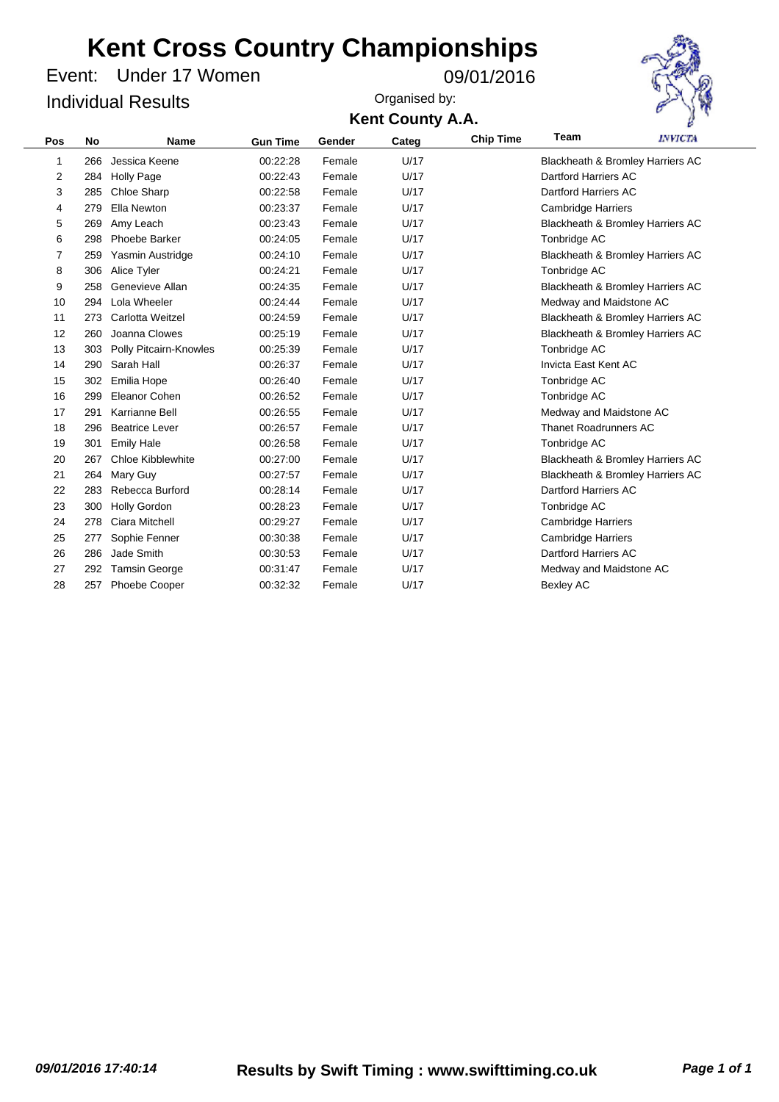Under 17 Women Event: 09/01/2016 Individual Results



| Pos | <b>No</b> | <b>Name</b>            | <b>Gun Time</b> | Gender | Categ | <b>Chip Time</b> | Team                             | <b>INVICTA</b>                   |
|-----|-----------|------------------------|-----------------|--------|-------|------------------|----------------------------------|----------------------------------|
| 1   | 266       | Jessica Keene          | 00:22:28        | Female | U/17  |                  | Blackheath & Bromley Harriers AC |                                  |
| 2   | 284       | <b>Holly Page</b>      | 00:22:43        | Female | U/17  |                  | Dartford Harriers AC             |                                  |
| 3   | 285       | Chloe Sharp            | 00:22:58        | Female | U/17  |                  | Dartford Harriers AC             |                                  |
| 4   | 279       | Ella Newton            | 00:23:37        | Female | U/17  |                  | <b>Cambridge Harriers</b>        |                                  |
| 5   | 269       | Amy Leach              | 00:23:43        | Female | U/17  |                  |                                  | Blackheath & Bromley Harriers AC |
| 6   | 298       | Phoebe Barker          | 00:24:05        | Female | U/17  |                  | Tonbridge AC                     |                                  |
| 7   | 259       | Yasmin Austridge       | 00:24:10        | Female | U/17  |                  |                                  | Blackheath & Bromley Harriers AC |
| 8   | 306       | Alice Tyler            | 00:24:21        | Female | U/17  |                  | Tonbridge AC                     |                                  |
| 9   | 258       | Genevieve Allan        | 00:24:35        | Female | U/17  |                  |                                  | Blackheath & Bromley Harriers AC |
| 10  | 294       | Lola Wheeler           | 00:24:44        | Female | U/17  |                  | Medway and Maidstone AC          |                                  |
| 11  | 273       | Carlotta Weitzel       | 00:24:59        | Female | U/17  |                  | Blackheath & Bromley Harriers AC |                                  |
| 12  | 260       | Joanna Clowes          | 00:25:19        | Female | U/17  |                  | Blackheath & Bromley Harriers AC |                                  |
| 13  | 303       | Polly Pitcairn-Knowles | 00:25:39        | Female | U/17  |                  | Tonbridge AC                     |                                  |
| 14  | 290       | Sarah Hall             | 00:26:37        | Female | U/17  |                  | Invicta East Kent AC             |                                  |
| 15  | 302       | Emilia Hope            | 00:26:40        | Female | U/17  |                  | Tonbridge AC                     |                                  |
| 16  | 299       | Eleanor Cohen          | 00:26:52        | Female | U/17  |                  | Tonbridge AC                     |                                  |
| 17  | 291       | Karrianne Bell         | 00:26:55        | Female | U/17  |                  | Medway and Maidstone AC          |                                  |
| 18  | 296       | <b>Beatrice Lever</b>  | 00:26:57        | Female | U/17  |                  | <b>Thanet Roadrunners AC</b>     |                                  |
| 19  | 301       | <b>Emily Hale</b>      | 00:26:58        | Female | U/17  |                  | Tonbridge AC                     |                                  |
| 20  | 267       | Chloe Kibblewhite      | 00:27:00        | Female | U/17  |                  |                                  | Blackheath & Bromley Harriers AC |
| 21  | 264       | Mary Guy               | 00:27:57        | Female | U/17  |                  |                                  | Blackheath & Bromley Harriers AC |
| 22  | 283       | Rebecca Burford        | 00:28:14        | Female | U/17  |                  | Dartford Harriers AC             |                                  |
| 23  | 300       | <b>Holly Gordon</b>    | 00:28:23        | Female | U/17  |                  | Tonbridge AC                     |                                  |
| 24  | 278       | Ciara Mitchell         | 00:29:27        | Female | U/17  |                  | <b>Cambridge Harriers</b>        |                                  |
| 25  | 277       | Sophie Fenner          | 00:30:38        | Female | U/17  |                  | <b>Cambridge Harriers</b>        |                                  |
| 26  | 286       | Jade Smith             | 00:30:53        | Female | U/17  |                  | Dartford Harriers AC             |                                  |
| 27  | 292       | <b>Tamsin George</b>   | 00:31:47        | Female | U/17  |                  | Medway and Maidstone AC          |                                  |
| 28  | 257       | <b>Phoebe Cooper</b>   | 00:32:32        | Female | U/17  |                  | <b>Bexley AC</b>                 |                                  |
|     |           |                        |                 |        |       |                  |                                  |                                  |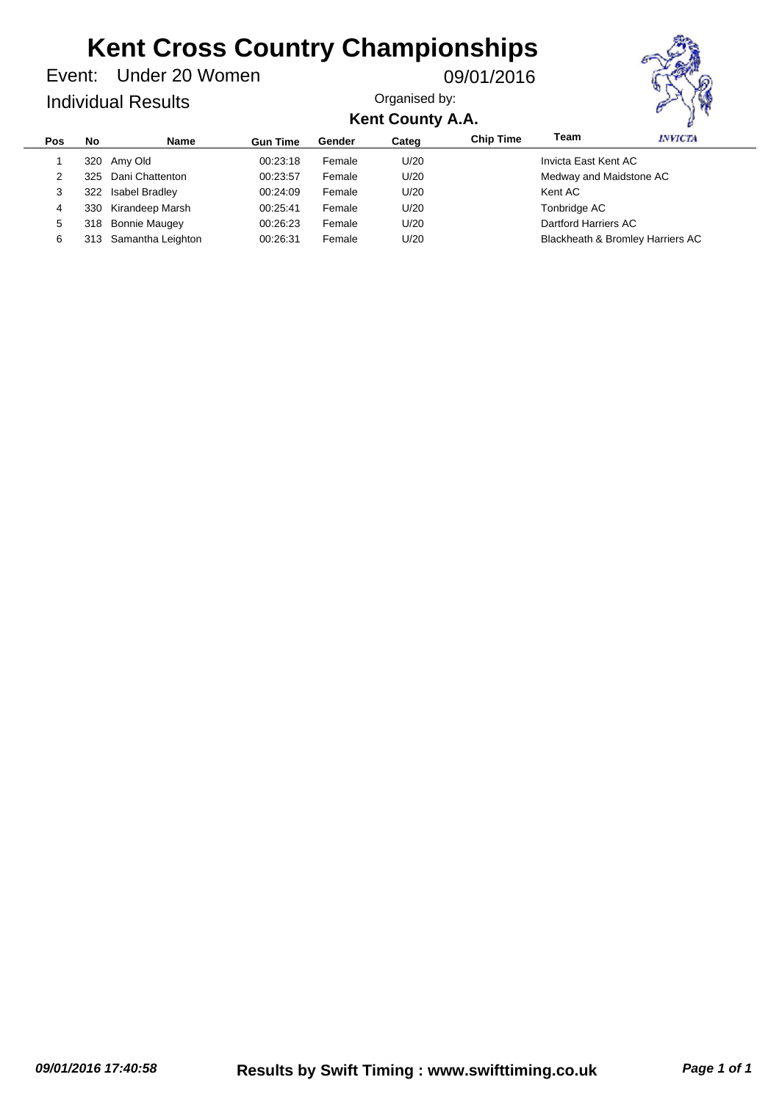Under 20 Women Event: 09/01/2016

### Individual Results



| Pos | No   | Name                | <b>Gun Time</b> | Gender | Categ | <b>Chip Time</b>        | Team                 | <i><b>INVICTA</b></i>            |
|-----|------|---------------------|-----------------|--------|-------|-------------------------|----------------------|----------------------------------|
|     |      | 320 Amy Old         | 00:23:18        | Female | U/20  |                         | Invicta East Kent AC |                                  |
|     |      | 325 Dani Chattenton | 00:23:57        | Female | U/20  | Medway and Maidstone AC |                      |                                  |
| 3   |      | 322 Isabel Bradley  | 00:24:09        | Female | U/20  |                         | Kent AC              |                                  |
| 4   |      | 330 Kirandeep Marsh | 00:25:41        | Female | U/20  |                         | Tonbridge AC         |                                  |
| 5   |      | 318 Bonnie Maugey   | 00:26:23        | Female | U/20  |                         | Dartford Harriers AC |                                  |
| 6   | 313. | Samantha Leighton   | 00:26:31        | Female | U/20  |                         |                      | Blackheath & Bromley Harriers AC |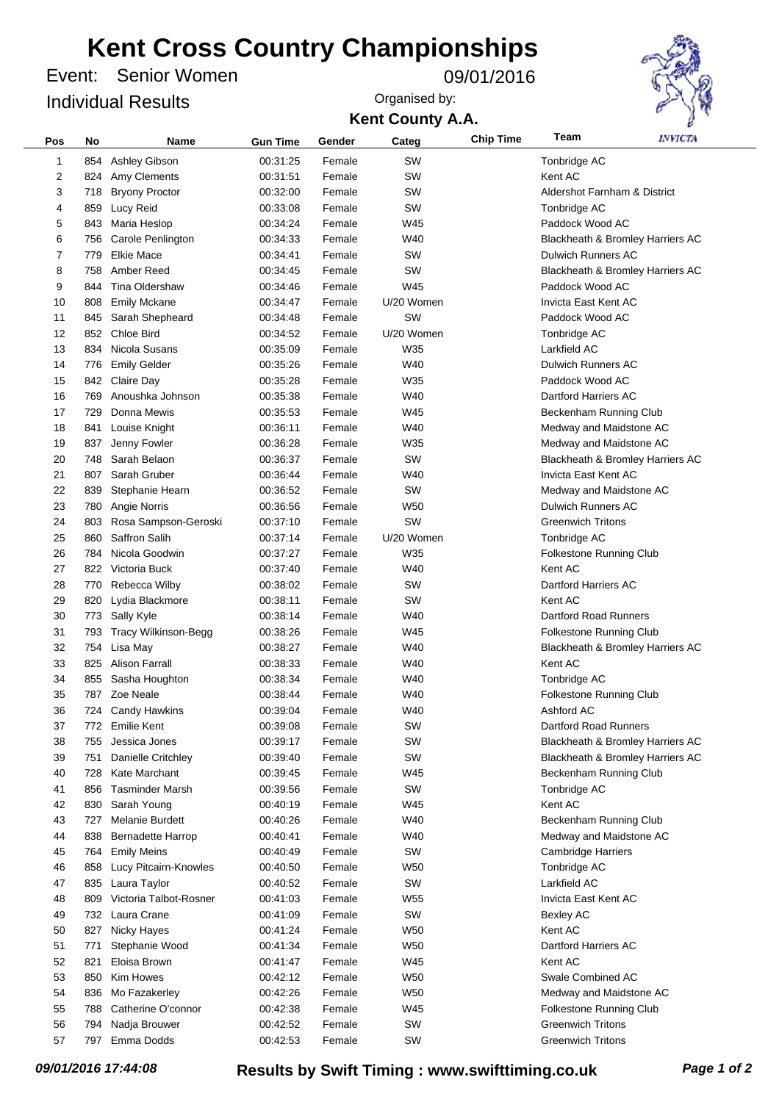Senior Women Event: 09/01/2016 Individual Results

**Kent County A.A.** Organised by:



| Pos | No  | Name                     | <b>Gun Time</b> | Gender | Categ      | <b>Chip Time</b> | Team                         | <i><b>INVICTA</b></i>            |
|-----|-----|--------------------------|-----------------|--------|------------|------------------|------------------------------|----------------------------------|
| 1   | 854 | Ashley Gibson            | 00:31:25        | Female | SW         |                  | Tonbridge AC                 |                                  |
| 2   | 824 | Amy Clements             | 00:31:51        | Female | SW         |                  | Kent AC                      |                                  |
| 3   | 718 | <b>Bryony Proctor</b>    | 00:32:00        | Female | SW         |                  | Aldershot Farnham & District |                                  |
| 4   | 859 | Lucy Reid                | 00:33:08        | Female | SW         |                  | Tonbridge AC                 |                                  |
| 5   | 843 | Maria Heslop             | 00:34:24        | Female | W45        |                  | Paddock Wood AC              |                                  |
| 6   | 756 | Carole Penlington        | 00:34:33        | Female | W40        |                  |                              | Blackheath & Bromley Harriers AC |
| 7   | 779 | <b>Elkie Mace</b>        | 00:34:41        | Female | SW         |                  | Dulwich Runners AC           |                                  |
| 8   | 758 | Amber Reed               | 00:34:45        | Female | SW         |                  |                              | Blackheath & Bromley Harriers AC |
| 9   | 844 | Tina Oldershaw           | 00:34:46        | Female | W45        |                  | Paddock Wood AC              |                                  |
| 10  | 808 | <b>Emily Mckane</b>      | 00:34:47        | Female | U/20 Women |                  | Invicta East Kent AC         |                                  |
| 11  | 845 | Sarah Shepheard          | 00:34:48        | Female | SW         |                  | Paddock Wood AC              |                                  |
| 12  | 852 | Chloe Bird               | 00:34:52        | Female | U/20 Women |                  | Tonbridge AC                 |                                  |
| 13  | 834 | Nicola Susans            | 00:35:09        | Female | W35        |                  | Larkfield AC                 |                                  |
| 14  | 776 | <b>Emily Gelder</b>      | 00:35:26        | Female | W40        |                  | <b>Dulwich Runners AC</b>    |                                  |
| 15  | 842 | <b>Claire Day</b>        | 00:35:28        | Female | W35        |                  | Paddock Wood AC              |                                  |
| 16  | 769 | Anoushka Johnson         | 00:35:38        | Female | W40        |                  | Dartford Harriers AC         |                                  |
| 17  | 729 | Donna Mewis              | 00:35:53        | Female | W45        |                  | Beckenham Running Club       |                                  |
| 18  | 841 | Louise Knight            | 00:36:11        | Female | W40        |                  | Medway and Maidstone AC      |                                  |
| 19  | 837 | Jenny Fowler             | 00:36:28        | Female | W35        |                  | Medway and Maidstone AC      |                                  |
| 20  | 748 | Sarah Belaon             | 00:36:37        | Female | SW         |                  |                              | Blackheath & Bromley Harriers AC |
| 21  | 807 | Sarah Gruber             | 00:36:44        | Female | W40        |                  | Invicta East Kent AC         |                                  |
| 22  | 839 | Stephanie Hearn          | 00:36:52        | Female | SW         |                  | Medway and Maidstone AC      |                                  |
| 23  | 780 | Angie Norris             | 00:36:56        | Female | W50        |                  | <b>Dulwich Runners AC</b>    |                                  |
| 24  | 803 | Rosa Sampson-Geroski     | 00:37:10        | Female | SW         |                  | <b>Greenwich Tritons</b>     |                                  |
| 25  | 860 | Saffron Salih            | 00:37:14        | Female | U/20 Women |                  | Tonbridge AC                 |                                  |
| 26  | 784 | Nicola Goodwin           | 00:37:27        | Female | W35        |                  | Folkestone Running Club      |                                  |
| 27  | 822 | Victoria Buck            | 00:37:40        | Female | W40        |                  | Kent AC                      |                                  |
| 28  | 770 | Rebecca Wilby            | 00:38:02        | Female | SW         |                  | Dartford Harriers AC         |                                  |
| 29  | 820 | Lydia Blackmore          | 00:38:11        | Female | SW         |                  | Kent AC                      |                                  |
| 30  | 773 | Sally Kyle               | 00:38:14        | Female | W40        |                  | Dartford Road Runners        |                                  |
| 31  | 793 | Tracy Wilkinson-Begg     | 00:38:26        | Female | W45        |                  | Folkestone Running Club      |                                  |
| 32  | 754 | Lisa May                 | 00:38:27        | Female | W40        |                  |                              | Blackheath & Bromley Harriers AC |
| 33  | 825 | Alison Farrall           | 00:38:33        | Female | W40        |                  | Kent AC                      |                                  |
| 34  | 855 | Sasha Houghton           | 00:38:34        | Female | W40        |                  | Tonbridge AC                 |                                  |
| 35  | 787 | Zoe Neale                | 00:38:44        | Female | W40        |                  | Folkestone Running Club      |                                  |
| 36  | 724 | <b>Candy Hawkins</b>     | 00:39:04        | Female | W40        |                  | Ashford AC                   |                                  |
| 37  | 772 | <b>Emilie Kent</b>       | 00:39:08        | Female | SW         |                  | Dartford Road Runners        |                                  |
| 38  | 755 | Jessica Jones            | 00:39:17        | Female | SW         |                  |                              | Blackheath & Bromley Harriers AC |
| 39  | 751 | Danielle Critchley       | 00:39:40        | Female | SW         |                  |                              | Blackheath & Bromley Harriers AC |
| 40  | 728 | Kate Marchant            | 00:39:45        | Female | W45        |                  | Beckenham Running Club       |                                  |
| 41  | 856 | <b>Tasminder Marsh</b>   | 00:39:56        | Female | SW         |                  | Tonbridge AC                 |                                  |
| 42  | 830 | Sarah Young              | 00:40:19        | Female | W45        |                  | Kent AC                      |                                  |
| 43  | 727 | Melanie Burdett          | 00:40:26        | Female | W40        |                  | Beckenham Running Club       |                                  |
| 44  | 838 | <b>Bernadette Harrop</b> | 00:40:41        | Female | W40        |                  | Medway and Maidstone AC      |                                  |
| 45  | 764 | <b>Emily Meins</b>       | 00:40:49        | Female | SW         |                  | <b>Cambridge Harriers</b>    |                                  |
| 46  | 858 | Lucy Pitcairn-Knowles    | 00:40:50        | Female | W50        |                  | Tonbridge AC                 |                                  |
| 47  | 835 | Laura Taylor             | 00:40:52        | Female | SW         |                  | Larkfield AC                 |                                  |
| 48  | 809 | Victoria Talbot-Rosner   | 00:41:03        | Female | W55        |                  | Invicta East Kent AC         |                                  |
| 49  | 732 | Laura Crane              | 00:41:09        | Female | SW         |                  | Bexley AC                    |                                  |
| 50  | 827 | Nicky Hayes              | 00:41:24        | Female | <b>W50</b> |                  | Kent AC                      |                                  |
| 51  | 771 | Stephanie Wood           | 00:41:34        | Female | W50        |                  | Dartford Harriers AC         |                                  |
| 52  | 821 | Eloisa Brown             | 00:41:47        | Female | W45        |                  | Kent AC                      |                                  |
| 53  | 850 | Kim Howes                | 00:42:12        | Female | <b>W50</b> |                  | Swale Combined AC            |                                  |
| 54  | 836 | Mo Fazakerley            | 00:42:26        | Female | W50        |                  | Medway and Maidstone AC      |                                  |
| 55  | 788 | Catherine O'connor       | 00:42:38        | Female | W45        |                  | Folkestone Running Club      |                                  |
| 56  | 794 | Nadja Brouwer            | 00:42:52        | Female | SW         |                  | <b>Greenwich Tritons</b>     |                                  |
| 57  |     | 797 Emma Dodds           | 00:42:53        | Female | SW         |                  | <b>Greenwich Tritons</b>     |                                  |

*09/01/2016 17:44:08* **Results by Swift Timing : www.swifttiming.co.uk** *Page 1 of 2*